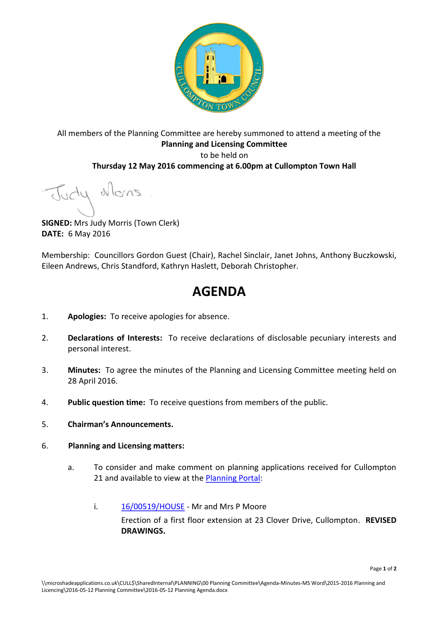

# All members of the Planning Committee are hereby summoned to attend a meeting of the **Planning and Licensing Committee**  to be held on **Thursday 12 May 2016 commencing at 6.00pm at Cullompton Town Hall**

Judy Mons

**SIGNED:** Mrs Judy Morris (Town Clerk) **DATE:** 6 May 2016

Membership: Councillors Gordon Guest (Chair), Rachel Sinclair, Janet Johns, Anthony Buczkowski, Eileen Andrews, Chris Standford, Kathryn Haslett, Deborah Christopher.

# **AGENDA**

- 1. **Apologies:** To receive apologies for absence.
- 2. **Declarations of Interests:** To receive declarations of disclosable pecuniary interests and personal interest.
- 3. **Minutes:** To agree the minutes of the Planning and Licensing Committee meeting held on 28 April 2016.
- 4. **Public question time:** To receive questions from members of the public.
- 5. **Chairman's Announcements.**
- 6. **Planning and Licensing matters:**
	- a. To consider and make comment on planning applications received for Cullompton 21 and available to view at the [Planning Portal:](http://planning.middevon.gov.uk/online-applications/refineSearch.do?action=refine)
		- i. [16/00519/HOUSE](http://docs.middevon.gov.uk/pap/index.asp?caseref=16/00519/HOUSE)  Mr and Mrs P Moore Erection of a first floor extension at 23 Clover Drive, Cullompton. **REVISED DRAWINGS.**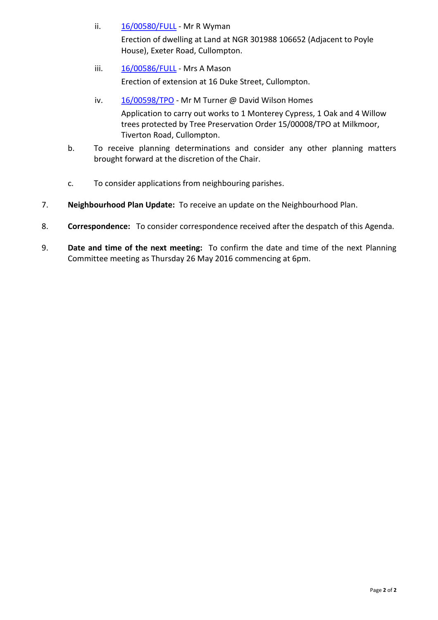- ii. [16/00580/FULL](http://docs.middevon.gov.uk/pap/index.asp?caseref=16/00580/FULL)  Mr R Wyman Erection of dwelling at Land at NGR 301988 106652 (Adjacent to Poyle House), Exeter Road, Cullompton.
- iii. [16/00586/FULL](http://docs.middevon.gov.uk/pap/index.asp?caseref=16/00586/FULL)  Mrs A Mason Erection of extension at 16 Duke Street, Cullompton.
- iv. [16/00598/TPO](http://docs.middevon.gov.uk/pap/index.asp?caseref=16/00598/TPO)  Mr M Turner @ David Wilson Homes Application to carry out works to 1 Monterey Cypress, 1 Oak and 4 Willow trees protected by Tree Preservation Order 15/00008/TPO at Milkmoor, Tiverton Road, Cullompton.
- b. To receive planning determinations and consider any other planning matters brought forward at the discretion of the Chair.
- c. To consider applications from neighbouring parishes.
- 7. **Neighbourhood Plan Update:** To receive an update on the Neighbourhood Plan.
- 8. **Correspondence:** To consider correspondence received after the despatch of this Agenda.
- 9. **Date and time of the next meeting:** To confirm the date and time of the next Planning Committee meeting as Thursday 26 May 2016 commencing at 6pm.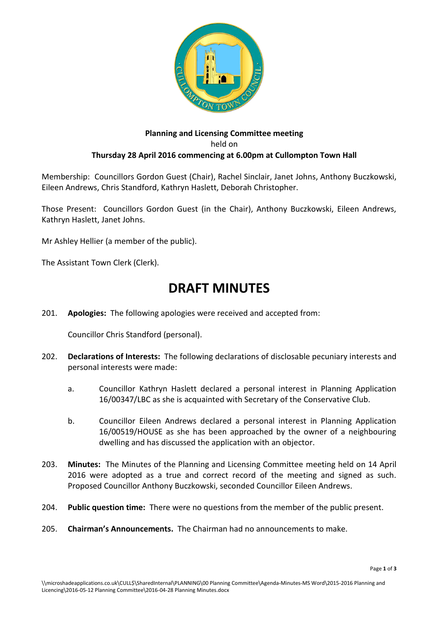

## **Planning and Licensing Committee meeting**  held on **Thursday 28 April 2016 commencing at 6.00pm at Cullompton Town Hall**

Membership: Councillors Gordon Guest (Chair), Rachel Sinclair, Janet Johns, Anthony Buczkowski, Eileen Andrews, Chris Standford, Kathryn Haslett, Deborah Christopher.

Those Present: Councillors Gordon Guest (in the Chair), Anthony Buczkowski, Eileen Andrews, Kathryn Haslett, Janet Johns.

Mr Ashley Hellier (a member of the public).

The Assistant Town Clerk (Clerk).

# **DRAFT MINUTES**

201. **Apologies:** The following apologies were received and accepted from:

Councillor Chris Standford (personal).

- 202. **Declarations of Interests:** The following declarations of disclosable pecuniary interests and personal interests were made:
	- a. Councillor Kathryn Haslett declared a personal interest in Planning Application 16/00347/LBC as she is acquainted with Secretary of the Conservative Club.
	- b. Councillor Eileen Andrews declared a personal interest in Planning Application 16/00519/HOUSE as she has been approached by the owner of a neighbouring dwelling and has discussed the application with an objector.
- 203. **Minutes:** The Minutes of the Planning and Licensing Committee meeting held on 14 April 2016 were adopted as a true and correct record of the meeting and signed as such. Proposed Councillor Anthony Buczkowski, seconded Councillor Eileen Andrews.
- 204. **Public question time:** There were no questions from the member of the public present.
- 205. **Chairman's Announcements.** The Chairman had no announcements to make.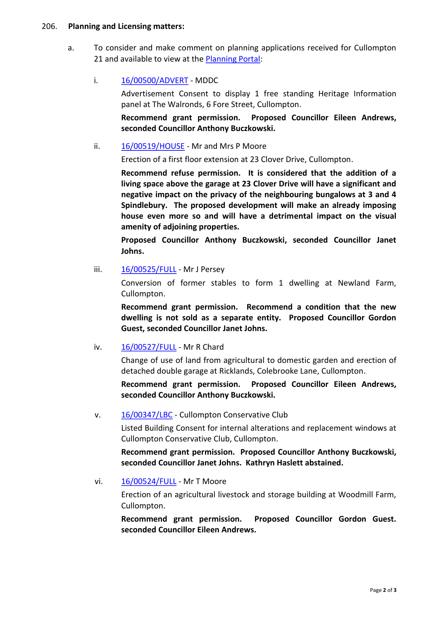#### 206. **Planning and Licensing matters:**

a. To consider and make comment on planning applications received for Cullompton 21 and available to view at the [Planning Portal:](http://planning.middevon.gov.uk/online-applications/refineSearch.do?action=refine)

### i. [16/00500/ADVERT](http://docs.middevon.gov.uk/pap/index.asp?caseref=16/00500/ADVERT) - MDDC

Advertisement Consent to display 1 free standing Heritage Information panel at The Walronds, 6 Fore Street, Cullompton.

**Recommend grant permission. Proposed Councillor Eileen Andrews, seconded Councillor Anthony Buczkowski.**

### ii. [16/00519/HOUSE](http://docs.middevon.gov.uk/pap/index.asp?caseref=16/00519/HOUSE) - Mr and Mrs P Moore

Erection of a first floor extension at 23 Clover Drive, Cullompton.

**Recommend refuse permission. It is considered that the addition of a living space above the garage at 23 Clover Drive will have a significant and negative impact on the privacy of the neighbouring bungalows at 3 and 4 Spindlebury. The proposed development will make an already imposing house even more so and will have a detrimental impact on the visual amenity of adjoining properties.** 

**Proposed Councillor Anthony Buczkowski, seconded Councillor Janet Johns.**

iii. [16/00525/FULL](http://docs.middevon.gov.uk/pap/index.asp?caseref=16/00525/FULL) - Mr J Persey

Conversion of former stables to form 1 dwelling at Newland Farm, Cullompton.

**Recommend grant permission. Recommend a condition that the new dwelling is not sold as a separate entity. Proposed Councillor Gordon Guest, seconded Councillor Janet Johns.**

#### iv. [16/00527/FULL](http://docs.middevon.gov.uk/pap/index.asp?caseref=16/00527/FULL) - Mr R Chard

Change of use of land from agricultural to domestic garden and erection of detached double garage at Ricklands, Colebrooke Lane, Cullompton.

**Recommend grant permission. Proposed Councillor Eileen Andrews, seconded Councillor Anthony Buczkowski.** 

v. [16/00347/LBC](http://docs.middevon.gov.uk/pap/index.asp?caseref=16/00347/LBC) - Cullompton Conservative Club

Listed Building Consent for internal alterations and replacement windows at Cullompton Conservative Club, Cullompton.

**Recommend grant permission. Proposed Councillor Anthony Buczkowski, seconded Councillor Janet Johns. Kathryn Haslett abstained.**

#### vi. [16/00524/FULL](http://docs.middevon.gov.uk/pap/index.asp?caseref=16/00524/FULL) - Mr T Moore

Erection of an agricultural livestock and storage building at Woodmill Farm, Cullompton.

**Recommend grant permission. Proposed Councillor Gordon Guest. seconded Councillor Eileen Andrews.**